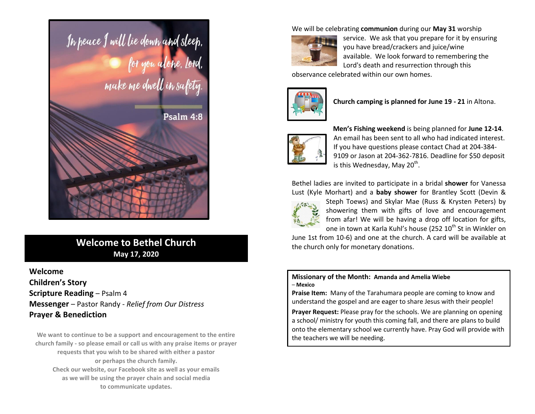

# **Welcome to Bethel Church May 17, 2020**

**Welcome Children's Story Scripture Reading - Psalm 4 Messenger** – Pastor Randy - *Relief from Our Distress* **Prayer & Benediction**

**We want to continue to be a support and encouragement to the entire church family - so please email or call us with any praise items or prayer requests that you wish to be shared with either a pastor or perhaps the church family. Check our website, our Facebook site as well as your emails as we will be using the prayer chain and social media to communicate updates.**

We will be celebrating **communion** during our **May 31** worship



service. We ask that you prepare for it by ensuring you have bread/crackers and juice/wine available. We look forward to remembering the Lord's death and resurrection through this

observance celebrated within our own homes.



**Church camping is planned for June 19 - 21** in Altona.



 **Men's Fishing weekend** is being planned for **June 12-14**. An email has been sent to all who had indicated interest. If you have questions please contact Chad at 204-384- 9109 or Jason at 204-362-7816. Deadline for \$50 deposit is this Wednesday, May 20<sup>th</sup>.

Bethel ladies are invited to participate in a bridal **shower** for Vanessa Lust (Kyle Morhart) and a **baby shower** for Brantley Scott (Devin &



Steph Toews) and Skylar Mae (Russ & Krysten Peters) by showering them with gifts of love and encouragement from afar! We will be having a drop off location for gifts, one in town at Karla Kuhl's house (252 10<sup>th</sup> St in Winkler on

June 1st from 10-6) and one at the church. A card will be available at the church only for monetary donations.

#### **Missionary of the Month: Amanda and Amelia Wiebe** – **Mexico**

**Praise Item:** Many of the Tarahumara people are coming to know and understand the gospel and are eager to share Jesus with their people!

**Prayer Request:** Please pray for the schools. We are planning on opening a school/ ministry for youth this coming fall, and there are plans to build onto the elementary school we currently have. Pray God will provide with the teachers we will be needing.